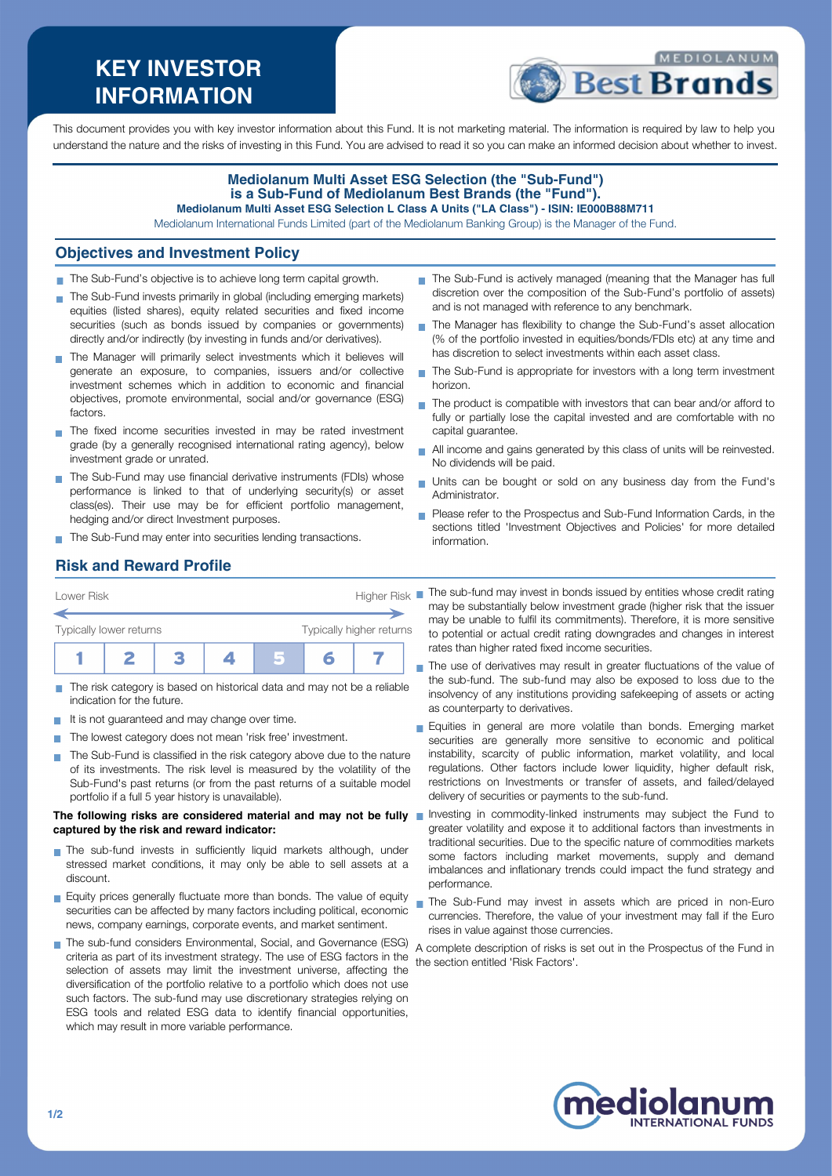# **KEY INVESTOR INFORMATION**



This document provides you with key investor information about this Fund. It is not marketing material. The information is required by law to help you understand the nature and the risks of investing in this Fund. You are advised to read it so you can make an informed decision about whether to invest.

#### **Mediolanum Multi Asset ESG Selection (the "Sub-Fund") is a Sub-Fund of Mediolanum Best Brands (the "Fund"). Mediolanum Multi Asset ESG Selection L Class A Units ("LA Class") - ISIN: IE000B88M711**

Mediolanum International Funds Limited (part of the Mediolanum Banking Group) is the Manager of the Fund.

#### **Objectives and Investment Policy**

- The Sub-Fund's objective is to achieve long term capital growth.
- The Sub-Fund invests primarily in global (including emerging markets) equities (listed shares), equity related securities and fixed income securities (such as bonds issued by companies or governments) directly and/or indirectly (by investing in funds and/or derivatives).
- The Manager will primarily select investments which it believes will generate an exposure, to companies, issuers and/or collective investment schemes which in addition to economic and financial objectives, promote environmental, social and/or governance (ESG) factors.
- The fixed income securities invested in may be rated investment grade (by a generally recognised international rating agency), below investment grade or unrated.
- The Sub-Fund may use financial derivative instruments (FDIs) whose performance is linked to that of underlying security(s) or asset class(es). Their use may be for efficient portfolio management, hedging and/or direct Investment purposes.
- The Sub-Fund may enter into securities lending transactions.
- The Sub-Fund is actively managed (meaning that the Manager has full discretion over the composition of the Sub-Fund's portfolio of assets) and is not managed with reference to any benchmark.
- The Manager has flexibility to change the Sub-Fund's asset allocation  $\mathbf{r}$ (% of the portfolio invested in equities/bonds/FDIs etc) at any time and has discretion to select investments within each asset class.
- ÷. The Sub-Fund is appropriate for investors with a long term investment horizon.
- $\blacksquare$  The product is compatible with investors that can bear and/or afford to fully or partially lose the capital invested and are comfortable with no capital guarantee.
- All income and gains generated by this class of units will be reinvested. No dividends will be paid.
- Units can be bought or sold on any business day from the Fund's Administrator.
- **Please refer to the Prospectus and Sub-Fund Information Cards, in the** sections titled 'Investment Objectives and Policies' for more detailed information.

# **Risk and Reward Profile**

| Lower Risk              |  | <b>Higher Risk</b> |  |                          |  |  |
|-------------------------|--|--------------------|--|--------------------------|--|--|
| Typically lower returns |  |                    |  | Typically higher returns |  |  |
|                         |  |                    |  |                          |  |  |

- The risk category is based on historical data and may not be a reliable **COL** indication for the future.
- It is not guaranteed and may change over time.
- The lowest category does not mean 'risk free' investment.  $\mathcal{L}_{\mathcal{A}}$
- The Sub-Fund is classified in the risk category above due to the nature of its investments. The risk level is measured by the volatility of the Sub-Fund's past returns (or from the past returns of a suitable model portfolio if a full 5 year history is unavailable).

#### **The following risks are considered material and may not be fully captured by the risk and reward indicator:**

- The sub-fund invests in sufficiently liquid markets although, under stressed market conditions, it may only be able to sell assets at a discount.
- **Equity prices generally fluctuate more than bonds. The value of equity** securities can be affected by many factors including political, economic news, company earnings, corporate events, and market sentiment.
- The sub-fund considers Environmental, Social, and Governance (ESG) criteria as part of its investment strategy. The use of ESG factors in the selection of assets may limit the investment universe, affecting the diversification of the portfolio relative to a portfolio which does not use such factors. The sub-fund may use discretionary strategies relying on ESG tools and related ESG data to identify financial opportunities, which may result in more variable performance.

The sub-fund may invest in bonds issued by entities whose credit rating may be substantially below investment grade (higher risk that the issuer may be unable to fulfil its commitments). Therefore, it is more sensitive to potential or actual credit rating downgrades and changes in interest rates than higher rated fixed income securities.

The use of derivatives may result in greater fluctuations of the value of the sub-fund. The sub-fund may also be exposed to loss due to the insolvency of any institutions providing safekeeping of assets or acting as counterparty to derivatives.

- **Equities in general are more volatile than bonds. Emerging market** securities are generally more sensitive to economic and political instability, scarcity of public information, market volatility, and local regulations. Other factors include lower liquidity, higher default risk, restrictions on Investments or transfer of assets, and failed/delayed delivery of securities or payments to the sub-fund.
- Investing in commodity-linked instruments may subject the Fund to greater volatility and expose it to additional factors than investments in traditional securities. Due to the specific nature of commodities markets some factors including market movements, supply and demand imbalances and inflationary trends could impact the fund strategy and performance.
- The Sub-Fund may invest in assets which are priced in non-Euro currencies. Therefore, the value of your investment may fall if the Euro rises in value against those currencies.

A complete description of risks is set out in the Prospectus of the Fund in the section entitled 'Risk Factors'.